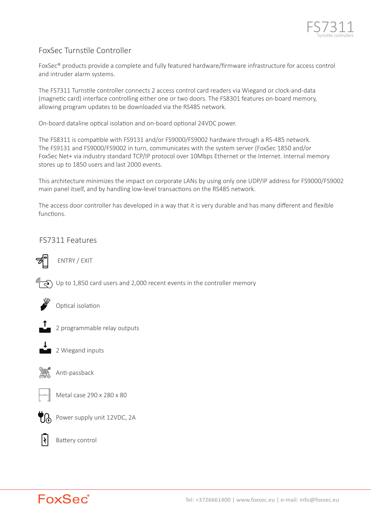

# FoxSec Turns�le Controller

FoxSec® products provide a complete and fully featured hardware/firmware infrastructure for access control and intruder alarm systems.

The FS7311 Turnstile controller connects 2 access control card readers via Wiegand or clock-and-data (magnetic card) interface controlling either one or two doors. The FS8301 features on-board memory, allowing program updates to be downloaded via the RS485 network.

On-board dataline optical isolation and on-board optional 24VDC power.

The FS8311 is compatible with FS9131 and/or FS9000/FS9002 hardware through a RS-485 network. The FS9131 and FS9000/FS9002 in turn, communicates with the system server (FoxSec 1850 and/or FoxSec Net+ via industry standard TCP/IP protocol over 10Mbps Ethernet or the Internet. Internal memory stores up to 1850 users and last 2000 events.

This architecture minimizes the impact on corporate LANs by using only one UDP/IP address for FS9000/FS9002 main panel itself, and by handling low-level transactions on the RS485 network.

The access door controller has developed in a way that it is very durable and has many different and flexible functions.

FS7311 Features



ENTRY / EXIT



 $\widehat{\mathcal{A}}$ ) Up to 1,850 card users and 2,000 recent events in the controller memory



Optical isolation



2 Wiegand inputs



Anti-passback



Metal case 290 x 280 x 80

2 programmable relay outputs



Power supply unit 12VDC, 2A



Battery control